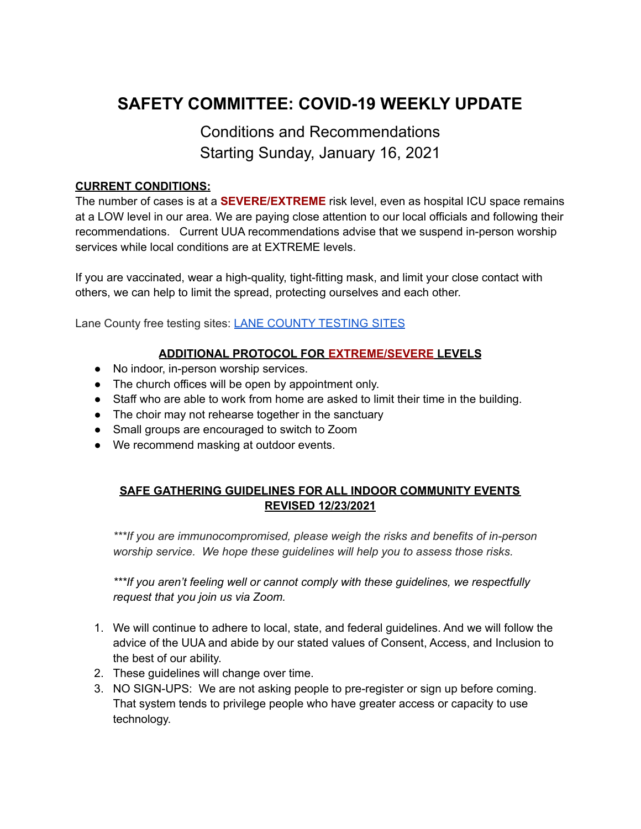# **SAFETY COMMITTEE: COVID-19 WEEKLY UPDATE**

# Conditions and Recommendations Starting Sunday, January 16, 2021

## **CURRENT CONDITIONS:**

The number of cases is at a **SEVERE/EXTREME** risk level, even as hospital ICU space remains at a LOW level in our area. We are paying close attention to our local officials and following their recommendations. Current UUA recommendations advise that we suspend in-person worship services while local conditions are at EXTREME levels.

If you are vaccinated, wear a high-quality, tight-fitting mask, and limit your close contact with others, we can help to limit the spread, protecting ourselves and each other.

Lane County free testing sites: LANE COUNTY [TESTING](https://lanecounty.org/government/county_departments/health_and_human_services/public_health/2019_novel_coronavirus__c_o_v_i_d19/community_testing) SITES

## **ADDITIONAL PROTOCOL FOR EXTREME/SEVERE LEVELS**

- No indoor, in-person worship services.
- The church offices will be open by appointment only.
- Staff who are able to work from home are asked to limit their time in the building.
- The choir may not rehearse together in the sanctuary
- Small groups are encouraged to switch to Zoom
- We recommend masking at outdoor events.

# **SAFE GATHERING GUIDELINES FOR ALL INDOOR COMMUNITY EVENTS REVISED 12/23/2021**

*\*\*\*If you are immunocompromised, please weigh the risks and benefits of in-person worship service. We hope these guidelines will help you to assess those risks.*

*\*\*\*If you aren't feeling well or cannot comply with these guidelines, we respectfully request that you join us via Zoom.*

- 1. We will continue to adhere to local, state, and federal guidelines. And we will follow the advice of the UUA and abide by our stated values of Consent, Access, and Inclusion to the best of our ability.
- 2. These guidelines will change over time.
- 3. NO SIGN-UPS: We are not asking people to pre-register or sign up before coming. That system tends to privilege people who have greater access or capacity to use technology.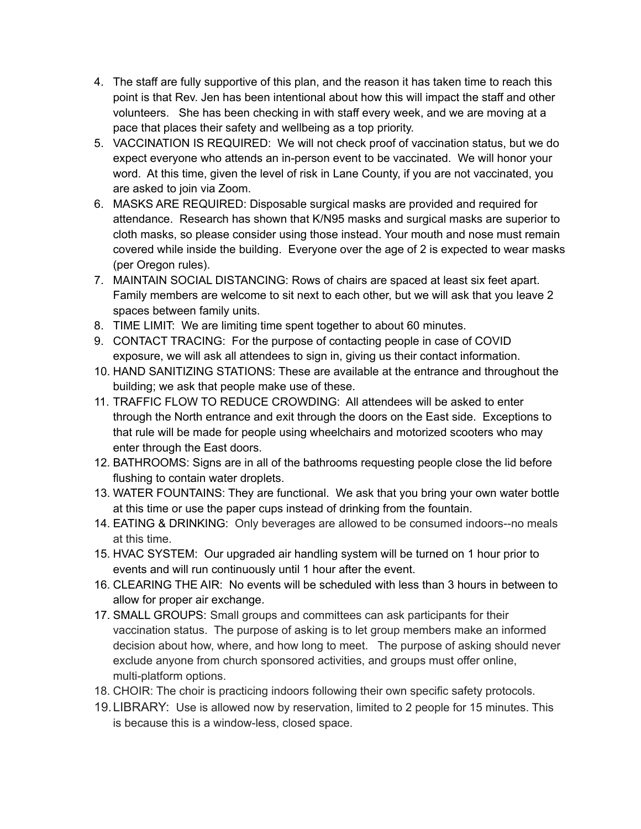- 4. The staff are fully supportive of this plan, and the reason it has taken time to reach this point is that Rev. Jen has been intentional about how this will impact the staff and other volunteers. She has been checking in with staff every week, and we are moving at a pace that places their safety and wellbeing as a top priority.
- 5. VACCINATION IS REQUIRED: We will not check proof of vaccination status, but we do expect everyone who attends an in-person event to be vaccinated. We will honor your word. At this time, given the level of risk in Lane County, if you are not vaccinated, you are asked to join via Zoom.
- 6. MASKS ARE REQUIRED: Disposable surgical masks are provided and required for attendance. Research has shown that K/N95 masks and surgical masks are superior to cloth masks, so please consider using those instead. Your mouth and nose must remain covered while inside the building. Everyone over the age of 2 is expected to wear masks (per Oregon rules).
- 7. MAINTAIN SOCIAL DISTANCING: Rows of chairs are spaced at least six feet apart. Family members are welcome to sit next to each other, but we will ask that you leave 2 spaces between family units.
- 8. TIME LIMIT: We are limiting time spent together to about 60 minutes.
- 9. CONTACT TRACING: For the purpose of contacting people in case of COVID exposure, we will ask all attendees to sign in, giving us their contact information.
- 10. HAND SANITIZING STATIONS: These are available at the entrance and throughout the building; we ask that people make use of these.
- 11. TRAFFIC FLOW TO REDUCE CROWDING: All attendees will be asked to enter through the North entrance and exit through the doors on the East side. Exceptions to that rule will be made for people using wheelchairs and motorized scooters who may enter through the East doors.
- 12. BATHROOMS: Signs are in all of the bathrooms requesting people close the lid before flushing to contain water droplets.
- 13. WATER FOUNTAINS: They are functional. We ask that you bring your own water bottle at this time or use the paper cups instead of drinking from the fountain.
- 14. EATING & DRINKING: Only beverages are allowed to be consumed indoors--no meals at this time.
- 15. HVAC SYSTEM: Our upgraded air handling system will be turned on 1 hour prior to events and will run continuously until 1 hour after the event.
- 16. CLEARING THE AIR: No events will be scheduled with less than 3 hours in between to allow for proper air exchange.
- 17. SMALL GROUPS: Small groups and committees can ask participants for their vaccination status. The purpose of asking is to let group members make an informed decision about how, where, and how long to meet. The purpose of asking should never exclude anyone from church sponsored activities, and groups must offer online, multi-platform options.
- 18. CHOIR: The choir is practicing indoors following their own specific safety protocols.
- 19.LIBRARY: Use is allowed now by reservation, limited to 2 people for 15 minutes. This is because this is a window-less, closed space.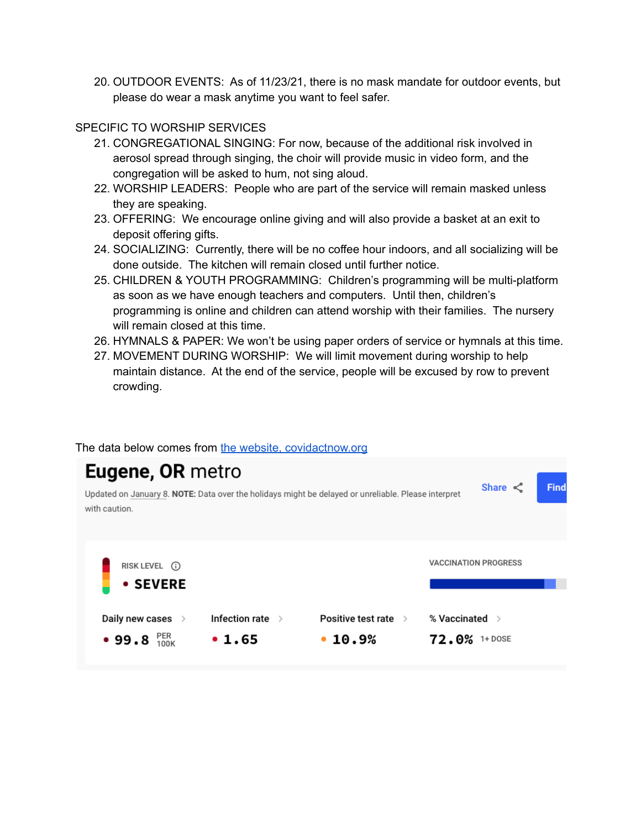20. OUTDOOR EVENTS: As of 11/23/21, there is no mask mandate for outdoor events, but please do wear a mask anytime you want to feel safer.

## SPECIFIC TO WORSHIP SERVICES

- 21. CONGREGATIONAL SINGING: For now, because of the additional risk involved in aerosol spread through singing, the choir will provide music in video form, and the congregation will be asked to hum, not sing aloud.
- 22. WORSHIP LEADERS: People who are part of the service will remain masked unless they are speaking.
- 23. OFFERING: We encourage online giving and will also provide a basket at an exit to deposit offering gifts.
- 24. SOCIALIZING: Currently, there will be no coffee hour indoors, and all socializing will be done outside. The kitchen will remain closed until further notice.
- 25. CHILDREN & YOUTH PROGRAMMING: Children's programming will be multi-platform as soon as we have enough teachers and computers. Until then, children's programming is online and children can attend worship with their families. The nursery will remain closed at this time.
- 26. HYMNALS & PAPER: We won't be using paper orders of service or hymnals at this time.
- 27. MOVEMENT DURING WORSHIP: We will limit movement during worship to help maintain distance. At the end of the service, people will be excused by row to prevent crowding.

#### Eugene, OR metro Find Share  $\leq$ Updated on January 8. NOTE: Data over the holidays might be delayed or unreliable. Please interpret with caution. **VACCINATION PROGRESS** RISK LEVEL (i) **• SEVERE** Daily new cases > Infection rate > Positive test rate > % Vaccinated > • 99.8  $_{100K}^{PER}$  $•1.65$  $•10.9%$ 72.0% 1+ DOSE

### The data below comes from the website, [covidactnow.org](https://covidactnow.org/us/oregon-or/county/lane_county/?s=25081423)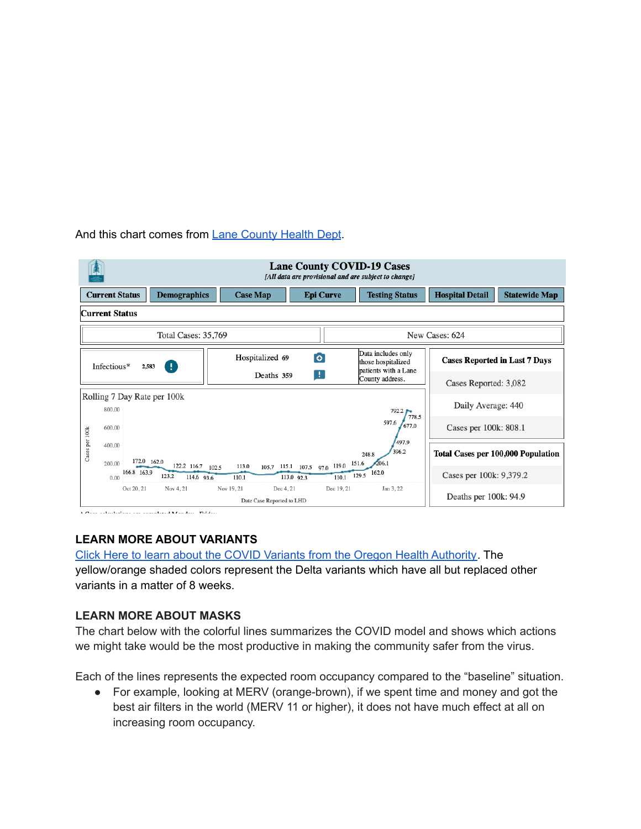### And this chart comes from Lane [County](https://public.tableau.com/app/profile/lane.county/viz/LaneCountyOregonCOVID-19CaseVisualizations-withPhoneLayouts/CurrentStatus) Health Dept.

| <b>Lane County COVID-19 Cases</b><br>[All data are provisional and are subject to change] |                                       |                                                                                                            |                 |                                                |                                                                  |                                      |                      |  |
|-------------------------------------------------------------------------------------------|---------------------------------------|------------------------------------------------------------------------------------------------------------|-----------------|------------------------------------------------|------------------------------------------------------------------|--------------------------------------|----------------------|--|
| <b>Current Status</b>                                                                     |                                       | <b>Demographics</b>                                                                                        | <b>Case Map</b> | <b>Epi Curve</b>                               | <b>Testing Status</b>                                            | <b>Hospital Detail</b>               | <b>Statewide Map</b> |  |
| <b>Current Status</b>                                                                     |                                       |                                                                                                            |                 |                                                |                                                                  |                                      |                      |  |
|                                                                                           | Total Cases: 35,769                   |                                                                                                            |                 |                                                |                                                                  |                                      | New Cases: 624       |  |
|                                                                                           | Infectious*                           | Ŧ<br>2,583                                                                                                 | Hospitalized 69 | $\bullet$                                      | Data includes only<br>those hospitalized<br>patients with a Lane | <b>Cases Reported in Last 7 Days</b> |                      |  |
|                                                                                           | ÷<br>Deaths 359<br>County address.    |                                                                                                            |                 |                                                |                                                                  | Cases Reported: 3,082                |                      |  |
|                                                                                           | Rolling 7 Day Rate per 100k<br>800.00 |                                                                                                            |                 |                                                | $792.2$ $\rightarrow$                                            | Daily Average: 440                   |                      |  |
| Cases per 100k                                                                            | 600.00                                |                                                                                                            |                 | $105.7$ $115.1$ $107.5$ $97.0$ $119.0$ $151.6$ | 778.5<br>597.6<br>677.0                                          | Cases per 100k: 808.1                |                      |  |
|                                                                                           | 400.00<br>200.00                      | 172.0 162.0                                                                                                |                 |                                                | 497.9<br>396.2<br>248.8<br>206.1                                 | Total Cases per 100,000 Population   |                      |  |
|                                                                                           | 166.8 163.9<br>0.00                   | 122.2 116.7 102.5<br>123.2<br>114.6 93.6                                                                   | 113.0<br>110.1  | 113.0 92.3                                     | $\overline{110.1}$ $\overline{129.5}$ 162.0                      | Cases per 100k: 9,379.2              |                      |  |
|                                                                                           |                                       | Oct 20, 21<br>Nov 4, 21<br>Dec 4, 21<br>Dec 19, 21<br>Jan 3, 22<br>Nov 19, 21<br>Date Case Reported to LHD |                 |                                                |                                                                  | Deaths per 100k: 94.9                |                      |  |

# **LEARN MORE ABOUT VARIANTS**

Click Here to learn about the COVID Variants from the Oregon Health [Authority](https://public.tableau.com/app/profile/oregon.health.authority.covid.19/viz/GISAIDVariantDashboardUpdated/OregonVariantDashboard). The yellow/orange shaded colors represent the Delta variants which have all but replaced other variants in a matter of 8 weeks.

# **LEARN MORE ABOUT MASKS**

The chart below with the colorful lines summarizes the COVID model and shows which actions we might take would be the most productive in making the community safer from the virus.

Each of the lines represents the expected room occupancy compared to the "baseline" situation.

● For example, looking at MERV (orange-brown), if we spent time and money and got the best air filters in the world (MERV 11 or higher), it does not have much effect at all on increasing room occupancy.